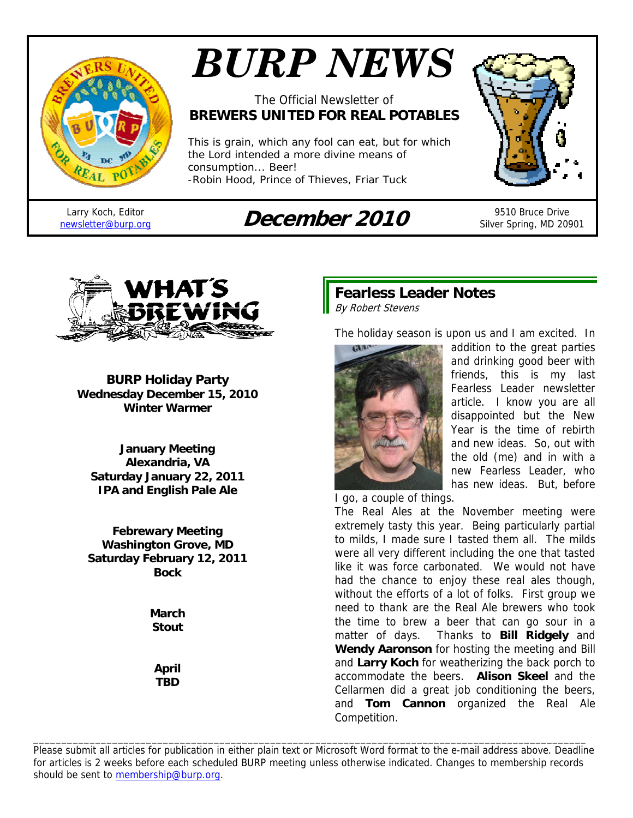

# *BURP NEWS*

## The Official Newsletter of **BREWERS UNITED FOR REAL POTABLES**

*This is grain, which any fool can eat, but for which the Lord intended a more divine means of consumption... Beer!*  -*Robin Hood, Prince of Thieves*, Friar Tuck

Larry Koch, Editor

# newsletter@burp.org **December 2010** 9510 Bruce Drive



Silver Spring, MD 20901



**BURP Holiday Party Wednesday December 15, 2010 Winter Warmer** 

**January Meeting Alexandria, VA Saturday January 22, 2011 IPA and English Pale Ale** 

**Febrewary Meeting Washington Grove, MD Saturday February 12, 2011 Bock** 

> **March Stout**

**April TBD** 

## **Fearless Leader Notes**  By Robert Stevens

The holiday season is upon us and I am excited. In



addition to the great parties and drinking good beer with friends, this is my last Fearless Leader newsletter article. I know you are all disappointed but the New Year is the time of rebirth and new ideas. So, out with the old (me) and in with a new Fearless Leader, who has new ideas. But, before

I go, a couple of things.

The Real Ales at the November meeting were extremely tasty this year. Being particularly partial to milds, I made sure I tasted them all. The milds were all very different including the one that tasted like it was force carbonated. We would not have had the chance to enjoy these real ales though, without the efforts of a lot of folks. First group we need to thank are the Real Ale brewers who took the time to brew a beer that can go sour in a matter of days. Thanks to **Bill Ridgely** and **Wendy Aaronson** for hosting the meeting and Bill and **Larry Koch** for weatherizing the back porch to accommodate the beers. **Alison Skeel** and the Cellarmen did a great job conditioning the beers, and **Tom Cannon** organized the Real Ale Competition.

Please submit all articles for publication in either plain text or Microsoft Word format to the e-mail address above. Deadline for articles is 2 weeks before each scheduled BURP meeting unless otherwise indicated. Changes to membership records should be sent to membership@burp.org.

\_\_\_\_\_\_\_\_\_\_\_\_\_\_\_\_\_\_\_\_\_\_\_\_\_\_\_\_\_\_\_\_\_\_\_\_\_\_\_\_\_\_\_\_\_\_\_\_\_\_\_\_\_\_\_\_\_\_\_\_\_\_\_\_\_\_\_\_\_\_\_\_\_\_\_\_\_\_\_\_\_\_\_\_\_\_\_\_\_\_\_\_\_\_\_\_\_\_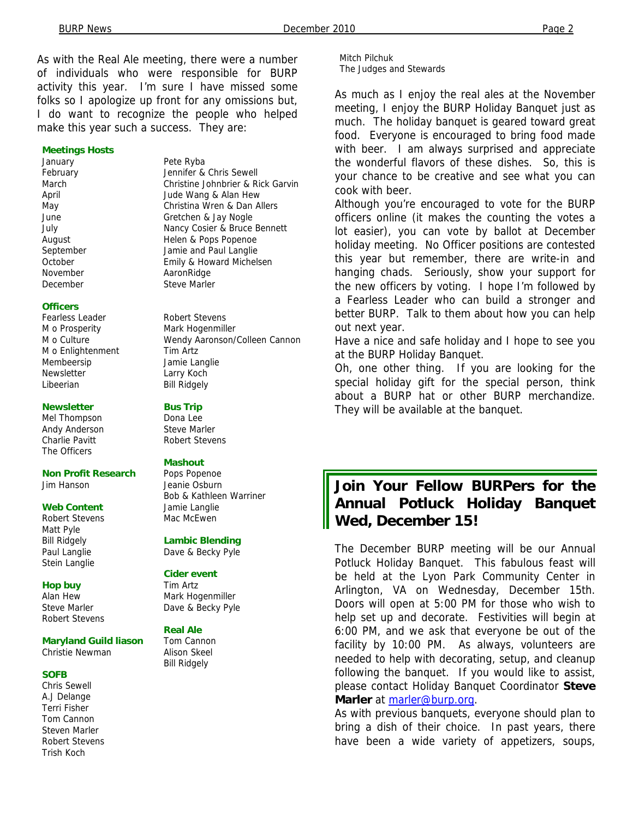As with the Real Ale meeting, there were a number of individuals who were responsible for BURP activity this year. I'm sure I have missed some folks so I apologize up front for any omissions but, I do want to recognize the people who helped make this year such a success. They are:

#### **Meetings Hosts**

January **Pete Ryba** December Steve Marler

**Officers** 

M o Prosperity **Mark Hogenmiller** M o Enlightenment Tim Artz Membeersip Jamie Langlie Newsletter Larry Koch Libeerian Bill Ridgely

#### **Newsletter** Bus Trip

Mel Thompson Dona Lee Andy Anderson Steve Marler Charlie Pavitt **Robert Stevens** The Officers

**Non Profit Research Pops Popenoe** Jim Hanson Jeanie Osburn

#### **Web Content** Jamie Langlie

Robert Stevens Mac McEwen Matt Pyle Stein Langlie

#### **Hop buy** Tim Artz

Steve Marler **Dave & Becky Pyle** Robert Stevens

#### **Maryland Guild liason** Tom Cannon

Christie Newman Alison Skeel

#### **SOFB**

Chris Sewell A.J Delange Terri Fisher Tom Cannon Steven Marler Robert Stevens Trish Koch

February **Jennifer & Chris Sewell** March Christine Johnbrier & Rick Garvin April Jude Wang & Alan Hew May Christina Wren & Dan Allers June Gretchen & Jay Nogle July Nancy Cosier & Bruce Bennett August **Helen & Pops Popenoe** September Jamie and Paul Langlie October Emily & Howard Michelsen November **AaronRidge** 

Fearless Leader Robert Stevens M o Culture Wendy Aaronson/Colleen Cannon

#### **Mashout**

Bob & Kathleen Warriner

#### Bill Ridgely **Lambic Blending**

Paul Langlie Dave & Becky Pyle

#### **Cider event**

Alan Hew Mark Hogenmiller

# **Real Ale**

Bill Ridgely

Mitch Pilchuk The Judges and Stewards

As much as I enjoy the real ales at the November meeting, I enjoy the BURP Holiday Banquet just as much. The holiday banquet is geared toward great food. Everyone is encouraged to bring food made with beer. I am always surprised and appreciate the wonderful flavors of these dishes. So, this is your chance to be creative and see what you can cook with beer.

Although you're encouraged to vote for the BURP officers online (it makes the counting the votes a lot easier), you can vote by ballot at December holiday meeting. No Officer positions are contested this year but remember, there are write-in and hanging chads. Seriously, show your support for the new officers by voting. I hope I'm followed by a Fearless Leader who can build a stronger and better BURP. Talk to them about how you can help out next year.

Have a nice and safe holiday and I hope to see you at the BURP Holiday Banquet.

Oh, one other thing. If you are looking for the special holiday gift for the special person, think about a BURP hat or other BURP merchandize. They will be available at the banquet.

## **Join Your Fellow BURPers for the Annual Potluck Holiday Banquet Wed, December 15!**

The December BURP meeting will be our Annual Potluck Holiday Banquet. This fabulous feast will be held at the Lyon Park Community Center in Arlington, VA on Wednesday, December 15th. Doors will open at 5:00 PM for those who wish to help set up and decorate. Festivities will begin at 6:00 PM, and we ask that everyone be out of the facility by 10:00 PM. As always, volunteers are needed to help with decorating, setup, and cleanup following the banquet. If you would like to assist, please contact Holiday Banquet Coordinator **Steve Marler** at marler@burp.org.

As with previous banquets, everyone should plan to bring a dish of their choice. In past years, there have been a wide variety of appetizers, soups,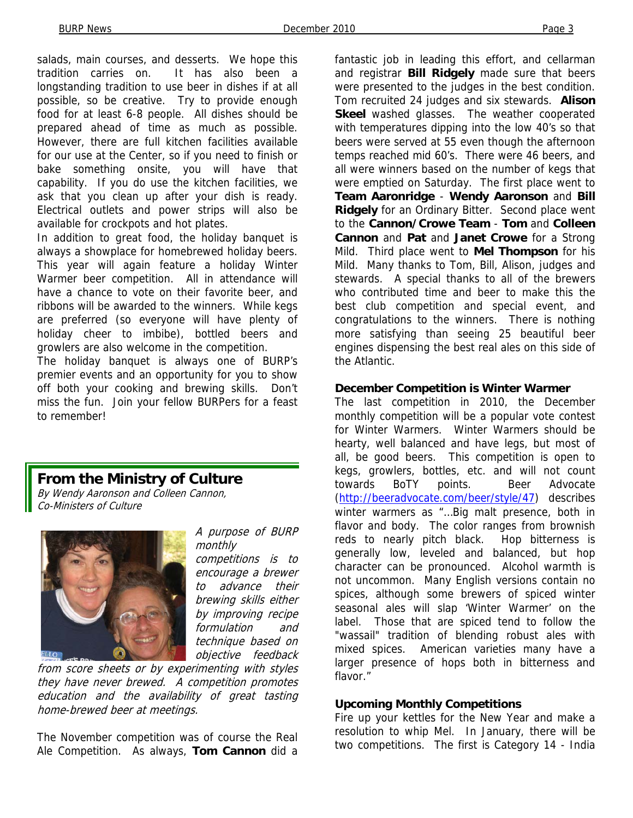salads, main courses, and desserts. We hope this tradition carries on. It has also been a longstanding tradition to use beer in dishes if at all possible, so be creative. Try to provide enough food for at least 6-8 people. All dishes should be prepared ahead of time as much as possible. However, there are full kitchen facilities available for our use at the Center, so if you need to finish or bake something onsite, you will have that capability. If you do use the kitchen facilities, we ask that you clean up after your dish is ready. Electrical outlets and power strips will also be available for crockpots and hot plates.

In addition to great food, the holiday banquet is always a showplace for homebrewed holiday beers. This year will again feature a holiday Winter Warmer beer competition. All in attendance will have a chance to vote on their favorite beer, and ribbons will be awarded to the winners. While kegs are preferred (so everyone will have plenty of holiday cheer to imbibe), bottled beers and growlers are also welcome in the competition.

The holiday banquet is always one of BURP's premier events and an opportunity for you to show off both your cooking and brewing skills. Don't miss the fun. Join your fellow BURPers for a feast to remember!

## **From the Ministry of Culture**

By Wendy Aaronson and Colleen Cannon, Co-Ministers of Culture



A purpose of BURP monthly competitions is to encourage a brewer to advance their brewing skills either by improving recipe formulation and technique based on objective feedback

from score sheets or by experimenting with styles they have never brewed. A competition promotes education and the availability of great tasting home-brewed beer at meetings.

The November competition was of course the Real Ale Competition. As always, **Tom Cannon** did a fantastic job in leading this effort, and cellarman and registrar **Bill Ridgely** made sure that beers were presented to the judges in the best condition. Tom recruited 24 judges and six stewards. **Alison Skeel** washed glasses. The weather cooperated with temperatures dipping into the low 40's so that beers were served at 55 even though the afternoon temps reached mid 60's. There were 46 beers, and all were winners based on the number of kegs that were emptied on Saturday. The first place went to **Team Aaronridge** - **Wendy Aaronson** and **Bill Ridgely** for an Ordinary Bitter. Second place went to the **Cannon/Crowe Team** - **Tom** and **Colleen Cannon** and **Pat** and **Janet Crowe** for a Strong Mild. Third place went to **Mel Thompson** for his Mild. Many thanks to Tom, Bill, Alison, judges and stewards. A special thanks to all of the brewers who contributed time and beer to make this the best club competition and special event, and congratulations to the winners. There is nothing more satisfying than seeing 25 beautiful beer engines dispensing the best real ales on this side of the Atlantic.

#### **December Competition is Winter Warmer**

The last competition in 2010, the December monthly competition will be a popular vote contest for Winter Warmers. Winter Warmers should be hearty, well balanced and have legs, but most of all, be good beers. This competition is open to kegs, growlers, bottles, etc. and will not count towards BoTY points. Beer Advocate (http://beeradvocate.com/beer/style/47) describes winter warmers as "...Big malt presence, both in flavor and body. The color ranges from brownish reds to nearly pitch black. Hop bitterness is generally low, leveled and balanced, but hop character can be pronounced. Alcohol warmth is not uncommon. Many English versions contain no spices, although some brewers of spiced winter seasonal ales will slap 'Winter Warmer' on the label. Those that are spiced tend to follow the "wassail" tradition of blending robust ales with mixed spices. American varieties many have a larger presence of hops both in bitterness and flavor."

#### **Upcoming Monthly Competitions**

Fire up your kettles for the New Year and make a resolution to whip Mel. In January, there will be two competitions. The first is Category 14 - India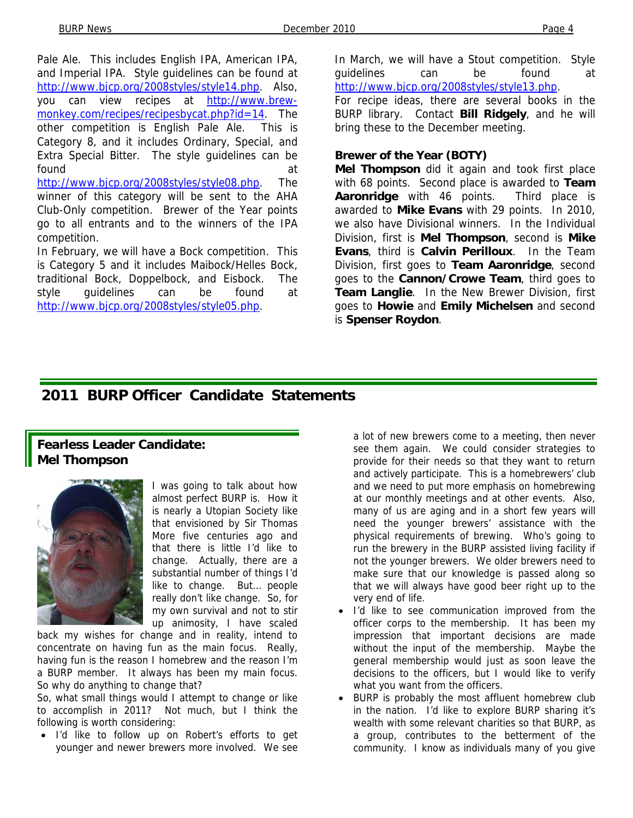Pale Ale. This includes English IPA, American IPA, and Imperial IPA. Style guidelines can be found at http://www.bjcp.org/2008styles/style14.php. Also, you can view recipes at http://www.brewmonkey.com/recipes/recipesbycat.php?id=14. The other competition is English Pale Ale. This is Category 8, and it includes Ordinary, Special, and Extra Special Bitter. The style guidelines can be found at a state of the state of the state of the state of the state of the state of the state of the state of http://www.bjcp.org/2008styles/style08.php. The winner of this category will be sent to the AHA Club-Only competition. Brewer of the Year points go to all entrants and to the winners of the IPA competition.

In February, we will have a Bock competition. This is Category 5 and it includes Maibock/Helles Bock, traditional Bock, Doppelbock, and Eisbock. The style guidelines can be found at http://www.bjcp.org/2008styles/style05.php.

In March, we will have a Stout competition. Style guidelines can be found at http://www.bjcp.org/2008styles/style13.php.

For recipe ideas, there are several books in the BURP library. Contact **Bill Ridgely**, and he will bring these to the December meeting.

#### **Brewer of the Year (BOTY)**

**Mel Thompson** did it again and took first place with 68 points. Second place is awarded to **Team Aaronridge** with 46 points. Third place is awarded to **Mike Evans** with 29 points. In 2010, we also have Divisional winners. In the Individual Division, first is **Mel Thompson**, second is **Mike Evans**, third is **Calvin Perilloux**. In the Team Division, first goes to **Team Aaronridge**, second goes to the **Cannon/Crowe Team**, third goes to **Team Langlie**. In the New Brewer Division, first goes to **Howie** and **Emily Michelsen** and second is **Spenser Roydon**.

## **2011 BURP Officer Candidate Statements**

## **Fearless Leader Candidate: Mel Thompson**



I was going to talk about how almost perfect BURP is. How it is nearly a Utopian Society like that envisioned by Sir Thomas More five centuries ago and that there is little I'd like to change. Actually, there are a substantial number of things I'd like to change. But… people really don't like change. So, for my own survival and not to stir up animosity, I have scaled

back my wishes for change and in reality, intend to concentrate on having fun as the main focus. Really, having fun is the reason I homebrew and the reason I'm a BURP member. It always has been my main focus. So why do anything to change that?

So, what small things would I attempt to change or like to accomplish in 2011? Not much, but I think the following is worth considering:

• I'd like to follow up on Robert's efforts to get younger and newer brewers more involved. We see

a lot of new brewers come to a meeting, then never see them again. We could consider strategies to provide for their needs so that they want to return and actively participate. This is a homebrewers' club and we need to put more emphasis on homebrewing at our monthly meetings and at other events. Also, many of us are aging and in a short few years will need the younger brewers' assistance with the physical requirements of brewing. Who's going to run the brewery in the BURP assisted living facility if not the younger brewers. We older brewers need to make sure that our knowledge is passed along so that we will always have good beer right up to the very end of life.

- I'd like to see communication improved from the officer corps to the membership. It has been my impression that important decisions are made without the input of the membership. Maybe the general membership would just as soon leave the decisions to the officers, but I would like to verify what you want from the officers.
- BURP is probably the most affluent homebrew club in the nation. I'd like to explore BURP sharing it's wealth with some relevant charities so that BURP, as a group, contributes to the betterment of the community. I know as individuals many of you give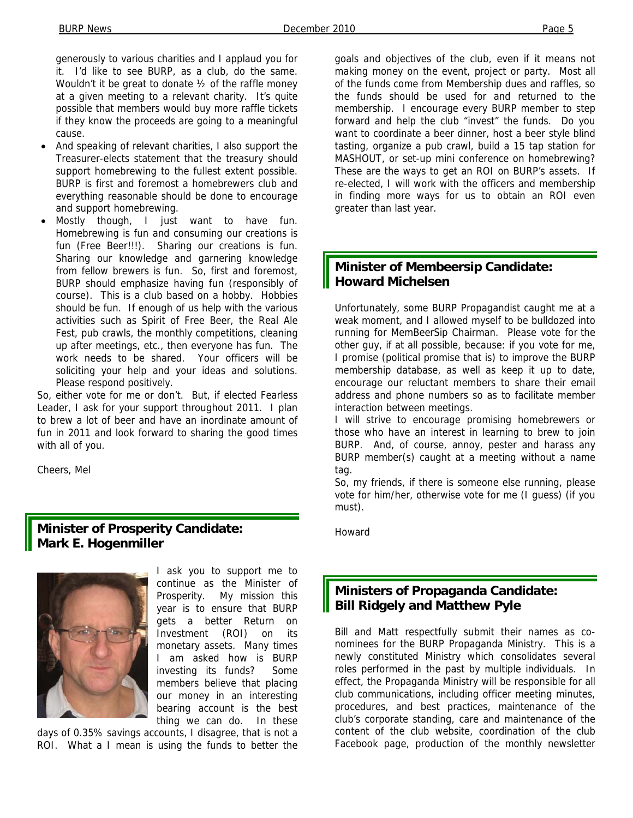generously to various charities and I applaud you for it. I'd like to see BURP, as a club, do the same. Wouldn't it be great to donate ½ of the raffle money at a given meeting to a relevant charity. It's quite possible that members would buy more raffle tickets if they know the proceeds are going to a meaningful cause.

- And speaking of relevant charities, I also support the Treasurer-elects statement that the treasury should support homebrewing to the fullest extent possible. BURP is first and foremost a homebrewers club and everything reasonable should be done to encourage and support homebrewing.
- Mostly though, I just want to have fun. Homebrewing is fun and consuming our creations is fun (Free Beer!!!). Sharing our creations is fun. Sharing our knowledge and garnering knowledge from fellow brewers is fun. So, first and foremost, BURP should emphasize having fun (responsibly of course). This is a club based on a hobby. Hobbies should be fun. If enough of us help with the various activities such as Spirit of Free Beer, the Real Ale Fest, pub crawls, the monthly competitions, cleaning up after meetings, etc., then everyone has fun. The work needs to be shared. Your officers will be soliciting your help and your ideas and solutions. Please respond positively.

So, either vote for me or don't. But, if elected Fearless Leader, I ask for your support throughout 2011. I plan to brew a lot of beer and have an inordinate amount of fun in 2011 and look forward to sharing the good times with all of you.

Cheers, Mel

#### **Minister of Prosperity Candidate: Mark E. Hogenmiller**



I ask you to support me to continue as the Minister of Prosperity. My mission this year is to ensure that BURP gets a better Return on Investment (ROI) on its monetary assets. Many times I am asked how is BURP investing its funds? Some members believe that placing our money in an interesting bearing account is the best thing we can do. In these

days of 0.35% savings accounts, I disagree, that is not a ROI. What a I mean is using the funds to better the goals and objectives of the club, even if it means not making money on the event, project or party. Most all of the funds come from Membership dues and raffles, so the funds should be used for and returned to the membership. I encourage every BURP member to step forward and help the club "invest" the funds. Do you want to coordinate a beer dinner, host a beer style blind tasting, organize a pub crawl, build a 15 tap station for MASHOUT, or set-up mini conference on homebrewing? These are the ways to get an ROI on BURP's assets. If re-elected, I will work with the officers and membership in finding more ways for us to obtain an ROI even greater than last year.

#### **Minister of Membeersip Candidate: Howard Michelsen**

Unfortunately, some BURP Propagandist caught me at a weak moment, and I allowed myself to be bulldozed into running for MemBeerSip Chairman. Please vote for the other guy, if at all possible, because: if you vote for me, I promise (political promise that is) to improve the BURP membership database, as well as keep it up to date, encourage our reluctant members to share their email address and phone numbers so as to facilitate member interaction between meetings.

I will strive to encourage promising homebrewers or those who have an interest in learning to brew to join BURP. And, of course, annoy, pester and harass any BURP member(s) caught at a meeting without a name tag.

So, my friends, if there is someone else running, please vote for him/her, otherwise vote for me (I guess) (if you must).

Howard

### **Ministers of Propaganda Candidate: Bill Ridgely and Matthew Pyle**

Bill and Matt respectfully submit their names as conominees for the BURP Propaganda Ministry. This is a newly constituted Ministry which consolidates several roles performed in the past by multiple individuals. In effect, the Propaganda Ministry will be responsible for all club communications, including officer meeting minutes, procedures, and best practices, maintenance of the club's corporate standing, care and maintenance of the content of the club website, coordination of the club Facebook page, production of the monthly newsletter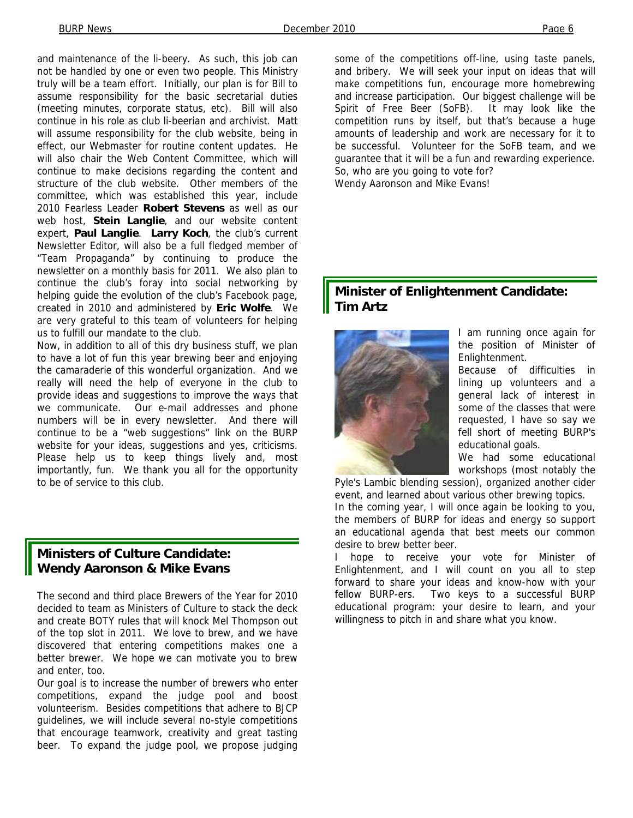and maintenance of the li-beery. As such, this job can not be handled by one or even two people. This Ministry truly will be a team effort. Initially, our plan is for Bill to assume responsibility for the basic secretarial duties (meeting minutes, corporate status, etc). Bill will also continue in his role as club li-beerian and archivist. Matt will assume responsibility for the club website, being in effect, our Webmaster for routine content updates. He will also chair the Web Content Committee, which will continue to make decisions regarding the content and structure of the club website. Other members of the committee, which was established this year, include 2010 Fearless Leader **Robert Stevens** as well as our web host, **Stein Langlie**, and our website content expert, **Paul Langlie**. **Larry Koch**, the club's current Newsletter Editor, will also be a full fledged member of "Team Propaganda" by continuing to produce the newsletter on a monthly basis for 2011. We also plan to continue the club's foray into social networking by helping guide the evolution of the club's Facebook page, created in 2010 and administered by **Eric Wolfe**. We are very grateful to this team of volunteers for helping us to fulfill our mandate to the club.

Now, in addition to all of this dry business stuff, we plan to have a lot of fun this year brewing beer and enjoying the camaraderie of this wonderful organization. And we really will need the help of everyone in the club to provide ideas and suggestions to improve the ways that we communicate. Our e-mail addresses and phone numbers will be in every newsletter. And there will continue to be a "web suggestions" link on the BURP website for your ideas, suggestions and yes, criticisms. Please help us to keep things lively and, most importantly, fun. We thank you all for the opportunity to be of service to this club.

## **Ministers of Culture Candidate: Wendy Aaronson & Mike Evans**

The second and third place Brewers of the Year for 2010 decided to team as Ministers of Culture to stack the deck and create BOTY rules that will knock Mel Thompson out of the top slot in 2011. We love to brew, and we have discovered that entering competitions makes one a better brewer. We hope we can motivate you to brew and enter, too.

Our goal is to increase the number of brewers who enter competitions, expand the judge pool and boost volunteerism. Besides competitions that adhere to BJCP guidelines, we will include several no-style competitions that encourage teamwork, creativity and great tasting beer. To expand the judge pool, we propose judging

some of the competitions off-line, using taste panels, and bribery. We will seek your input on ideas that will make competitions fun, encourage more homebrewing and increase participation. Our biggest challenge will be Spirit of Free Beer (SoFB). It may look like the competition runs by itself, but that's because a huge amounts of leadership and work are necessary for it to be successful. Volunteer for the SoFB team, and we guarantee that it will be a fun and rewarding experience. So, who are you going to vote for? Wendy Aaronson and Mike Evans!

## **Minister of Enlightenment Candidate: Tim Artz**



I am running once again for the position of Minister of Enlightenment.

Because of difficulties in lining up volunteers and a general lack of interest in some of the classes that were requested, I have so say we fell short of meeting BURP's educational goals.

We had some educational workshops (most notably the

Pyle's Lambic blending session), organized another cider event, and learned about various other brewing topics.

In the coming year, I will once again be looking to you, the members of BURP for ideas and energy so support an educational agenda that best meets our common desire to brew better beer.

I hope to receive your vote for Minister of Enlightenment, and I will count on you all to step forward to share your ideas and know-how with your fellow BURP-ers. Two keys to a successful BURP educational program: your desire to learn, and your willingness to pitch in and share what you know.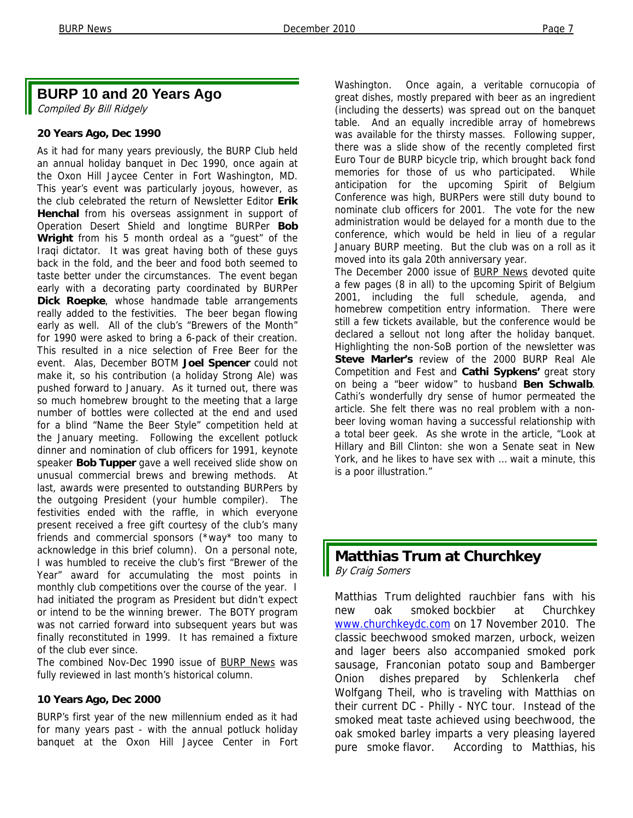## **BURP 10 and 20 Years Ago**

Compiled By Bill Ridgely

#### **20 Years Ago, Dec 1990**

As it had for many years previously, the BURP Club held an annual holiday banquet in Dec 1990, once again at the Oxon Hill Jaycee Center in Fort Washington, MD. This year's event was particularly joyous, however, as the club celebrated the return of Newsletter Editor **Erik Henchal** from his overseas assignment in support of Operation Desert Shield and longtime BURPer **Bob Wright** from his 5 month ordeal as a "guest" of the Iraqi dictator. It was great having both of these guys back in the fold, and the beer and food both seemed to taste better under the circumstances. The event began early with a decorating party coordinated by BURPer **Dick Roepke**, whose handmade table arrangements really added to the festivities. The beer began flowing early as well. All of the club's "Brewers of the Month" for 1990 were asked to bring a 6-pack of their creation. This resulted in a nice selection of Free Beer for the event. Alas, December BOTM **Joel Spencer** could not make it, so his contribution (a holiday Strong Ale) was pushed forward to January. As it turned out, there was so much homebrew brought to the meeting that a large number of bottles were collected at the end and used for a blind "Name the Beer Style" competition held at the January meeting. Following the excellent potluck dinner and nomination of club officers for 1991, keynote speaker **Bob Tupper** gave a well received slide show on unusual commercial brews and brewing methods. At last, awards were presented to outstanding BURPers by the outgoing President (your humble compiler). The festivities ended with the raffle, in which everyone present received a free gift courtesy of the club's many friends and commercial sponsors (\*way\* too many to acknowledge in this brief column). On a personal note, I was humbled to receive the club's first "Brewer of the Year" award for accumulating the most points in monthly club competitions over the course of the year. I had initiated the program as President but didn't expect or intend to be the winning brewer. The BOTY program was not carried forward into subsequent years but was finally reconstituted in 1999. It has remained a fixture of the club ever since.

The combined Nov-Dec 1990 issue of BURP News was fully reviewed in last month's historical column.

#### **10 Years Ago, Dec 2000**

BURP's first year of the new millennium ended as it had for many years past - with the annual potluck holiday banquet at the Oxon Hill Jaycee Center in Fort

Washington. Once again, a veritable cornucopia of great dishes, mostly prepared with beer as an ingredient (including the desserts) was spread out on the banquet table. And an equally incredible array of homebrews was available for the thirsty masses. Following supper, there was a slide show of the recently completed first Euro Tour de BURP bicycle trip, which brought back fond memories for those of us who participated. While anticipation for the upcoming Spirit of Belgium Conference was high, BURPers were still duty bound to nominate club officers for 2001. The vote for the new administration would be delayed for a month due to the conference, which would be held in lieu of a regular January BURP meeting. But the club was on a roll as it moved into its gala 20th anniversary year.

The December 2000 issue of **BURP News** devoted quite a few pages (8 in all) to the upcoming Spirit of Belgium 2001, including the full schedule, agenda, and homebrew competition entry information. There were still a few tickets available, but the conference would be declared a sellout not long after the holiday banquet. Highlighting the non-SoB portion of the newsletter was **Steve Marler's** review of the 2000 BURP Real Ale Competition and Fest and **Cathi Sypkens'** great story on being a "beer widow" to husband **Ben Schwalb**. Cathi's wonderfully dry sense of humor permeated the article. She felt there was no real problem with a nonbeer loving woman having a successful relationship with a total beer geek. As she wrote in the article, "Look at Hillary and Bill Clinton: she won a Senate seat in New York, and he likes to have sex with … wait a minute, this is a poor illustration."

# **Matthias Trum at Churchkey**

By Craig Somers

Matthias Trum delighted rauchbier fans with his new oak smoked bockbier at Churchkey www.churchkeydc.com on 17 November 2010. The classic beechwood smoked marzen, urbock, weizen and lager beers also accompanied smoked pork sausage, Franconian potato soup and Bamberger Onion dishes prepared by Schlenkerla chef Wolfgang Theil, who is traveling with Matthias on their current DC - Philly - NYC tour. Instead of the smoked meat taste achieved using beechwood, the oak smoked barley imparts a very pleasing layered pure smoke flavor. According to Matthias, his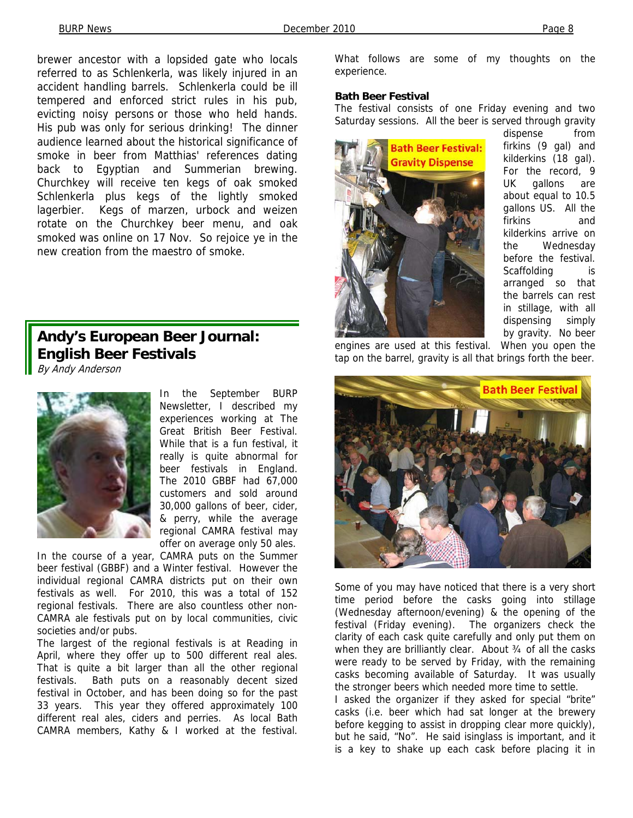brewer ancestor with a lopsided gate who locals referred to as Schlenkerla, was likely injured in an accident handling barrels. Schlenkerla could be ill tempered and enforced strict rules in his pub, evicting noisy persons or those who held hands. His pub was only for serious drinking! The dinner audience learned about the historical significance of smoke in beer from Matthias' references dating back to Egyptian and Summerian brewing. Churchkey will receive ten kegs of oak smoked Schlenkerla plus kegs of the lightly smoked lagerbier. Kegs of marzen, urbock and weizen rotate on the Churchkey beer menu, and oak smoked was online on 17 Nov. So rejoice ye in the new creation from the maestro of smoke.

## **Andy's European Beer Journal: English Beer Festivals**

By Andy Anderson



In the September BURP Newsletter, I described my experiences working at The Great British Beer Festival. While that is a fun festival, it really is quite abnormal for beer festivals in England. The 2010 GBBF had 67,000 customers and sold around 30,000 gallons of beer, cider, & perry, while the average regional CAMRA festival may offer on average only 50 ales.

In the course of a year, CAMRA puts on the Summer beer festival (GBBF) and a Winter festival. However the individual regional CAMRA districts put on their own festivals as well. For 2010, this was a total of 152 regional festivals. There are also countless other non-CAMRA ale festivals put on by local communities, civic societies and/or pubs.

The largest of the regional festivals is at Reading in April, where they offer up to 500 different real ales. That is quite a bit larger than all the other regional festivals. Bath puts on a reasonably decent sized festival in October, and has been doing so for the past 33 years. This year they offered approximately 100 different real ales, ciders and perries. As local Bath CAMRA members, Kathy & I worked at the festival.

What follows are some of my thoughts on the experience.

#### **Bath Beer Festival**

The festival consists of one Friday evening and two Saturday sessions. All the beer is served through gravity



dispense from firkins (9 gal) and kilderkins (18 gal). For the record, 9 UK gallons are about equal to 10.5 gallons US. All the firkins and kilderkins arrive on the Wednesday before the festival. Scaffolding is arranged so that the barrels can rest in stillage, with all dispensing simply by gravity. No beer

engines are used at this festival. When you open the tap on the barrel, gravity is all that brings forth the beer.



Some of you may have noticed that there is a very short time period before the casks going into stillage (Wednesday afternoon/evening) & the opening of the festival (Friday evening). The organizers check the clarity of each cask quite carefully and only put them on when they are brilliantly clear. About 34 of all the casks were ready to be served by Friday, with the remaining casks becoming available of Saturday. It was usually the stronger beers which needed more time to settle.

I asked the organizer if they asked for special "brite" casks (i.e. beer which had sat longer at the brewery before kegging to assist in dropping clear more quickly), but he said, "No". He said isinglass is important, and it is a key to shake up each cask before placing it in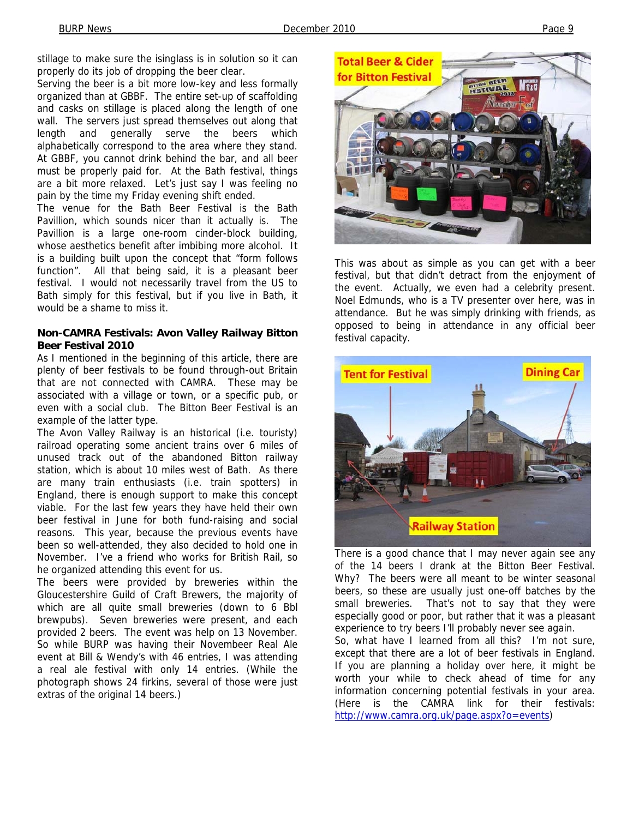stillage to make sure the isinglass is in solution so it can properly do its job of dropping the beer clear.

Serving the beer is a bit more low-key and less formally organized than at GBBF. The entire set-up of scaffolding and casks on stillage is placed along the length of one wall. The servers just spread themselves out along that length and generally serve the beers which alphabetically correspond to the area where they stand. At GBBF, you cannot drink behind the bar, and all beer must be properly paid for. At the Bath festival, things are a bit more relaxed. Let's just say I was feeling no pain by the time my Friday evening shift ended.

The venue for the Bath Beer Festival is the Bath Pavillion, which sounds nicer than it actually is. The Pavillion is a large one-room cinder-block building, whose aesthetics benefit after imbibing more alcohol. It is a building built upon the concept that "form follows function". All that being said, it is a pleasant beer festival. I would not necessarily travel from the US to Bath simply for this festival, but if you live in Bath, it would be a shame to miss it.

#### **Non-CAMRA Festivals: Avon Valley Railway Bitton Beer Festival 2010**

As I mentioned in the beginning of this article, there are plenty of beer festivals to be found through-out Britain that are not connected with CAMRA. These may be associated with a village or town, or a specific pub, or even with a social club. The Bitton Beer Festival is an example of the latter type.

The Avon Valley Railway is an historical (i.e. touristy) railroad operating some ancient trains over 6 miles of unused track out of the abandoned Bitton railway station, which is about 10 miles west of Bath. As there are many train enthusiasts (i.e. train spotters) in England, there is enough support to make this concept viable. For the last few years they have held their own beer festival in June for both fund-raising and social reasons. This year, because the previous events have been so well-attended, they also decided to hold one in November. I've a friend who works for British Rail, so he organized attending this event for us.

The beers were provided by breweries within the Gloucestershire Guild of Craft Brewers, the majority of which are all quite small breweries (down to 6 Bbl brewpubs). Seven breweries were present, and each provided 2 beers. The event was help on 13 November. So while BURP was having their Novembeer Real Ale event at Bill & Wendy's with 46 entries, I was attending a real ale festival with only 14 entries. (While the photograph shows 24 firkins, several of those were just extras of the original 14 beers.)



This was about as simple as you can get with a beer festival, but that didn't detract from the enjoyment of the event. Actually, we even had a celebrity present. Noel Edmunds, who is a TV presenter over here, was in attendance. But he was simply drinking with friends, as opposed to being in attendance in any official beer festival capacity.



There is a good chance that I may never again see any of the 14 beers I drank at the Bitton Beer Festival. Why? The beers were all meant to be winter seasonal beers, so these are usually just one-off batches by the small breweries. That's not to say that they were especially good or poor, but rather that it was a pleasant experience to try beers I'll probably never see again.

So, what have I learned from all this? I'm not sure, except that there are a lot of beer festivals in England. If you are planning a holiday over here, it might be worth your while to check ahead of time for any information concerning potential festivals in your area. (Here is the CAMRA link for their festivals: http://www.camra.org.uk/page.aspx?o=events)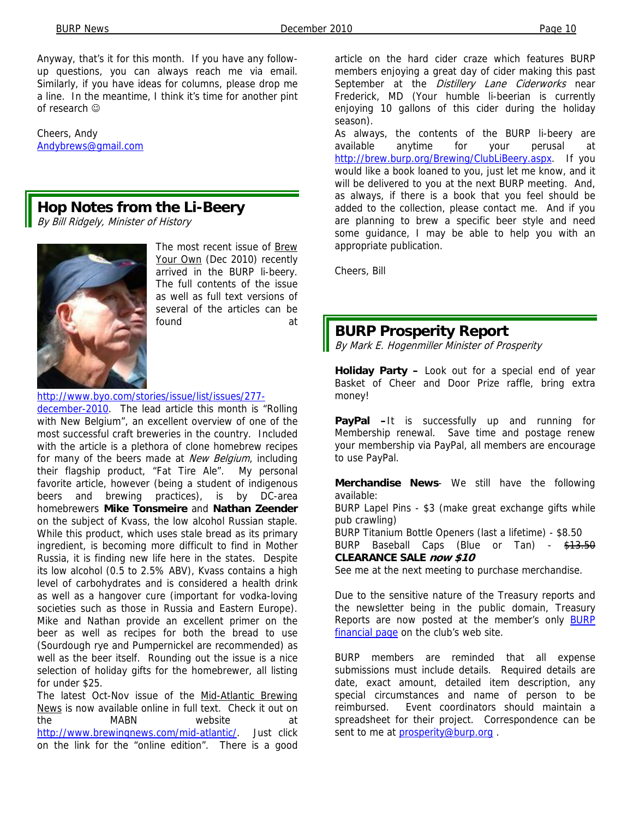Anyway, that's it for this month. If you have any followup questions, you can always reach me via email. Similarly, if you have ideas for columns, please drop me a line. In the meantime, I think it's time for another pint of research ☺

Cheers, Andy Andybrews@gmail.com

## **Hop Notes from the Li-Beery**

By Bill Ridgely, Minister of History



The most recent issue of Brew Your Own (Dec 2010) recently arrived in the BURP li-beery. The full contents of the issue as well as full text versions of several of the articles can be found at

#### http://www.byo.com/stories/issue/list/issues/277-

december-2010. The lead article this month is "Rolling with New Belgium", an excellent overview of one of the most successful craft breweries in the country. Included with the article is a plethora of clone homebrew recipes for many of the beers made at New Belgium, including their flagship product, "Fat Tire Ale". My personal favorite article, however (being a student of indigenous beers and brewing practices), is by DC-area homebrewers **Mike Tonsmeire** and **Nathan Zeender**  on the subject of Kvass, the low alcohol Russian staple. While this product, which uses stale bread as its primary ingredient, is becoming more difficult to find in Mother Russia, it is finding new life here in the states. Despite its low alcohol (0.5 to 2.5% ABV), Kvass contains a high level of carbohydrates and is considered a health drink as well as a hangover cure (important for vodka-loving societies such as those in Russia and Eastern Europe). Mike and Nathan provide an excellent primer on the beer as well as recipes for both the bread to use (Sourdough rye and Pumpernickel are recommended) as well as the beer itself. Rounding out the issue is a nice selection of holiday gifts for the homebrewer, all listing for under \$25.

The latest Oct-Nov issue of the Mid-Atlantic Brewing News is now available online in full text. Check it out on the MABN website at http://www.brewingnews.com/mid-atlantic/. Just click on the link for the "online edition". There is a good

article on the hard cider craze which features BURP members enjoying a great day of cider making this past September at the Distillery Lane Ciderworks near Frederick, MD (Your humble li-beerian is currently enjoying 10 gallons of this cider during the holiday season).

As always, the contents of the BURP li-beery are available anytime for your perusal at http://brew.burp.org/Brewing/ClubLiBeery.aspx. If you would like a book loaned to you, just let me know, and it will be delivered to you at the next BURP meeting. And, as always, if there is a book that you feel should be added to the collection, please contact me. And if you are planning to brew a specific beer style and need some guidance, I may be able to help you with an appropriate publication.

Cheers, Bill

## **BURP Prosperity Report**

By Mark E. Hogenmiller Minister of Prosperity

**Holiday Party –** Look out for a special end of year Basket of Cheer and Door Prize raffle, bring extra money!

**PayPal –**It is successfully up and running for Membership renewal. Save time and postage renew your membership via PayPal, all members are encourage to use PayPal.

**Merchandise News**- We still have the following available:

BURP Lapel Pins - \$3 (make great exchange gifts while pub crawling)

BURP Titanium Bottle Openers (last a lifetime) - \$8.50

BURP Baseball Caps (Blue or Tan) - \$13.50

## **CLEARANCE SALE now \$10**

See me at the next meeting to purchase merchandise.

Due to the sensitive nature of the Treasury reports and the newsletter being in the public domain, Treasury Reports are now posted at the member's only BURP financial page on the club's web site.

BURP members are reminded that all expense submissions must include details. Required details are date, exact amount, detailed item description, any special circumstances and name of person to be reimbursed. Event coordinators should maintain a spreadsheet for their project. Correspondence can be sent to me at **prosperity@burp.org**.